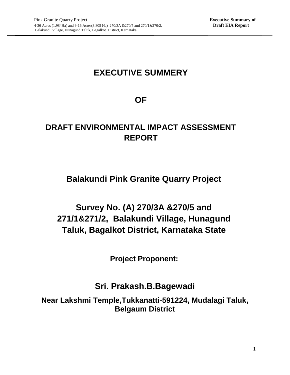# **EXECUTIVE SUMMERY**

## **OF**

# **DRAFT ENVIRONMENTAL IMPACT ASSESSMENT REPORT**

# **Balakundi Pink Granite Quarry Project**

# **Survey No. (A) 270/3A &270/5 and 271/1&271/2, Balakundi Village, Hunagund Taluk, Bagalkot District, Karnataka State**

**Project Proponent:**

## **Sri. Prakash.B.Bagewadi**

**Near Lakshmi Temple,Tukkanatti-591224, Mudalagi Taluk, Belgaum District**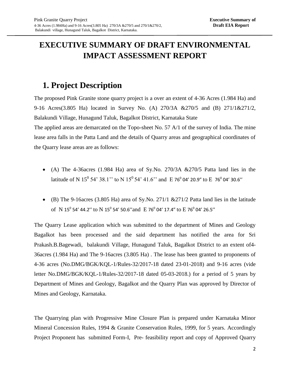## **EXECUTIVE SUMMARY OF DRAFT ENVIRONMENTAL IMPACT ASSESSMENT REPORT**

## **1. Project Description**

The proposed Pink Granite stone quarry project is a over an extent of 4-36 Acres (1.984 Ha) and 9-16 Acres(3.805 Ha) located in Survey No. (A) 270/3A &270/5 and (B) 271/1&271/2, Balakundi Village, Hunagund Taluk, Bagalkot District, Karnataka State The applied areas are demarcated on the Topo-sheet No. 57 A/1 of the survey of India. The mine lease area falls in the Patta Land and the details of Quarry areas and geographical coordinates of

the Quarry lease areas are as follows:

- (A) The 4-36 acres (1.984 Ha) area of Sy. No. 270/3A  $&270/5$  Patta land lies in the latitude of N 15<sup>0</sup> 54' 38.1'' to N 15<sup>0</sup> 54' 41.6'' and E 76<sup>0</sup> 04' 20.9" to E 76<sup>0</sup> 04' 30.6"
- (B) The 9-16acres (3.805 Ha) area of Sy.No. 271/1  $&271/2$  Patta land lies in the latitude of N 15<sup>0</sup> 54' 44.2" to N 15<sup>0</sup> 54' 50.6" and E 76<sup>0</sup> 04' 17.4" to E 76<sup>0</sup> 04' 26.5"

The Quarry Lease application which was submitted to the department of Mines and Geology Bagalkot has been processed and the said department has notified the area for Sri Prakash.B.Bagewadi, balakundi Village, Hunagund Taluk, Bagalkot District to an extent of4- 36acres (1.984 Ha) and The 9-16acres (3.805 Ha) . The lease has been granted to proponents of 4-36 acres (No.DMG/BGK/KQL-1/Rules-32/2017-18 dated 23-01-2018) and 9-16 acres (vide letter No.DMG/BGK/KQL-1/Rules-32/2017-18 dated 05-03-2018.) for a period of 5 years by Department of Mines and Geology, Bagalkot and the Quarry Plan was approved by Director of Mines and Geology, Karnataka.

The Quarrying plan with Progressive Mine Closure Plan is prepared under Karnataka Minor Mineral Concession Rules, 1994 & Granite Conservation Rules, 1999, for 5 years. Accordingly Project Proponent has submitted Form-I, Pre- feasibility report and copy of Approved Quarry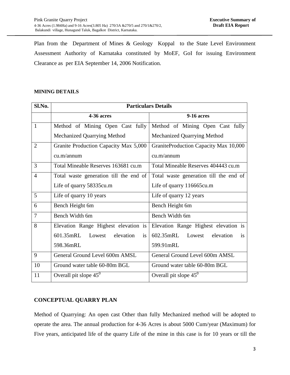Plan from the Department of Mines & Geology Koppal to the State Level Environment Assessment Authority of Karnataka constituted by MoEF, GoI for issuing Environment Clearance as per EIA September 14, 2006 Notification.

#### **MINING DETAILS**

| Sl.No.         | <b>Particulars Details</b>                    |                                               |  |
|----------------|-----------------------------------------------|-----------------------------------------------|--|
|                | 4-36 acres                                    | <b>9-16 acres</b>                             |  |
| $\mathbf{1}$   | Method of Mining Open Cast fully              | Method of Mining Open Cast fully              |  |
|                | Mechanized Quarrying Method                   | <b>Mechanized Quarrying Method</b>            |  |
| $\overline{2}$ | Granite Production Capacity Max 5,000         | GraniteProduction Capacity Max 10,000         |  |
|                | cu.m/annum                                    | cu.m/annum                                    |  |
| 3              | Total Mineable Reserves 163681 cu.m           | Total Mineable Reserves 404443 cu.m           |  |
| $\overline{4}$ | Total waste generation till the end of        | Total waste generation till the end of        |  |
|                | Life of quarry 58335cu.m                      | Life of quarry 116665cu.m                     |  |
| 5              | Life of quarry 10 years                       | Life of quarry 12 years                       |  |
| 6              | Bench Height 6m                               | Bench Height 6m                               |  |
| 7              | Bench Width 6m                                | Bench Width 6m                                |  |
| 8              | Elevation Range Highest elevation is          | Elevation Range Highest elevation is          |  |
|                | 601.35mRL<br>elevation<br>Lowest<br><i>is</i> | 602.35mRL<br>elevation<br>Lowest<br><i>is</i> |  |
|                | 598.36mRL                                     | 599.91mRL                                     |  |
| 9              | General Ground Level 600m AMSL                | General Ground Level 600m AMSL                |  |
| 10             | Ground water table 60-80m BGL                 | Ground water table 60-80m BGL                 |  |
| 11             | Overall pit slope $45^{\circ}$                | Overall pit slope $45^{\circ}$                |  |

## **CONCEPTUAL QUARRY PLAN**

Method of Quarrying: An open cast Other than fully Mechanized method will be adopted to operate the area. The annual production for 4-36 Acres is about 5000 Cum/year (Maximum) for Five years, anticipated life of the quarry Life of the mine in this case is for 10 years or till the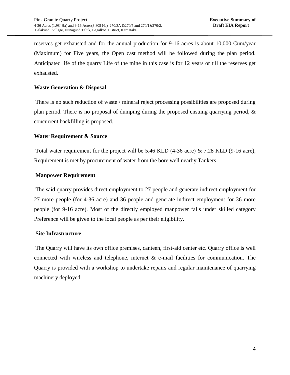reserves get exhausted and for the annual production for 9-16 acres is about 10,000 Cum/year (Maximum) for Five years, the Open cast method will be followed during the plan period. Anticipated life of the quarry Life of the mine in this case is for 12 years or till the reserves get exhausted.

## **Waste Generation & Disposal**

There is no such reduction of waste / mineral reject processing possibilities are proposed during plan period. There is no proposal of dumping during the proposed ensuing quarrying period, & concurrent backfilling is proposed.

## **Water Requirement & Source**

Total water requirement for the project will be 5.46 KLD (4-36 acre) & 7.28 KLD (9-16 acre), Requirement is met by procurement of water from the bore well nearby Tankers.

## **Manpower Requirement**

The said quarry provides direct employment to 27 people and generate indirect employment for 27 more people (for 4-36 acre) and 36 people and generate indirect employment for 36 more people (for 9-16 acre). Most of the directly employed manpower falls under skilled category Preference will be given to the local people as per their eligibility.

## **Site Infrastructure**

The Quarry will have its own office premises, canteen, first-aid center etc. Quarry office is well connected with wireless and telephone, internet  $\&$  e-mail facilities for communication. The Quarry is provided with a workshop to undertake repairs and regular maintenance of quarrying machinery deployed.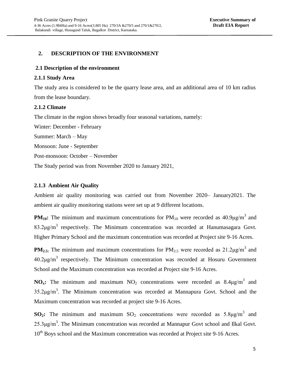## **2. DESCRIPTION OF THE ENVIRONMENT**

#### **2.1 Description of the environment**

#### **2.1.1 Study Area**

The study area is considered to be the quarry lease area, and an additional area of 10 km radius from the lease boundary.

## **2.1.2 Climate**

The climate in the region shows broadly four seasonal variations, namely:

Winter: December - February Summer: March – May Monsoon: June - September Post-monsoon: October – November The Study period was from November 2020 to January 2021,

## **2.1.3 Ambient Air Quality**

Ambient air quality monitoring was carried out from November 2020– January2021. The ambient air quality monitoring stations were set up at 9 different locations.

**PM**<sub>10</sub>: The minimum and maximum concentrations for  $PM_{10}$  were recorded as  $40.9\mu\text{g/m}^3$  and  $83.2 \mu g/m^3$  respectively. The Minimum concentration was recorded at Hanumasagara Govt. Higher Primary School and the maximum concentration was recorded at Project site 9-16 Acres.

**PM<sub>2.5:</sub>** The minimum and maximum concentrations for  $PM_{2.5}$  were recorded as  $21.2\mu\text{g/m}^3$  and  $40.2 \mu g/m^3$  respectively. The Minimum concentration was recorded at Hosuru Government School and the Maximum concentration was recorded at Project site 9-16 Acres.

**NO<sub>x</sub>**: The minimum and maximum  $NO_2$  concentrations were recorded as  $8.4\mu g/m^3$  and  $35.2 \mu g/m^3$ . The Minimum concentration was recorded at Mannapura Govt. School and the Maximum concentration was recorded at project site 9-16 Acres.

**SO<sub>2</sub>:** The minimum and maximum  $SO_2$  concentrations were recorded as  $5.8\mu g/m^3$  and  $25.3 \mu g/m<sup>3</sup>$ . The Minimum concentration was recorded at Mannapur Govt school and Ilkal Govt. 10<sup>th</sup> Boys school and the Maximum concentration was recorded at Project site 9-16 Acres.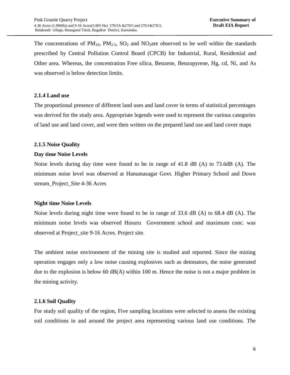The concentrations of  $PM_{10}$ ,  $PM_{2.5}$ ,  $SO_2$  and  $NO_2$  are observed to be well within the standards prescribed by Central Pollution Control Board (CPCB) for Industrial, Rural, Residential and Other area. Whereas, the concentration Free silica, Benzene, Benzopyrene, Hg, cd, Ni, and As was observed is below detection limits.

## **2.1.4 Land use**

The proportional presence of different land uses and land cover in terms of statistical percentages was derived for the study area. Appropriate legends were used to represent the various categories of land use and land cover, and were then written on the prepared land use and land cover maps

## **2.1.5 Noise Quality**

## **Day time Noise Levels**

Noise levels during day time were found to be in range of 41.8 dB (A) to 73.6dB (A). The minimum noise level was observed at Hanumasagar Govt. Higher Primary School and Down stream\_Project\_Site 4-36 Acres

## **Night time Noise Levels**

Noise levels during night time were found to be in range of 33.6 dB (A) to 68.4 dB (A). The minimum noise levels was observed Hosuru Government school and maximum conc. was observed at Project\_site 9-16 Acres. Project site.

The ambient noise environment of the mining site is studied and reported. Since the mining operation engages only a low noise causing explosives such as detonators, the noise generated due to the explosion is below 60 dB(A) within 100 m. Hence the noise is not a major problem in the mining activity.

## **2.1.6 Soil Quality**

For study soil quality of the region, Five sampling locations were selected to assess the existing soil conditions in and around the project area representing various land use conditions. The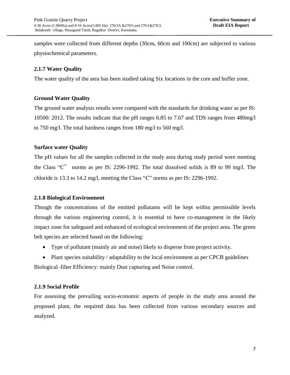samples were collected from different depths (30cm, 60cm and 100cm) are subjected to various physiochemical parameters.

## **2.1.7 Water Quality**

The water quality of the area has been studied taking Six locations in the core and buffer zone.

## **Ground Water Quality**

The ground water analysis results were compared with the standards for drinking water as per IS: 10500: 2012. The results indicate that the pH ranges 6.85 to 7.67 and TDS ranges from 480mg/l to 750 mg/l. The total hardness ranges from 180 mg/l to 560 mg/l.

## **Surface water Quality**

The pH values for all the samples collected in the study area during study period were meeting the Class "C" norms as per IS: 2296-1992. The total dissolved solids is 89 to 99 mg/l. The chloride is 13.3 to 14.2 mg/l, meeting the Class "C" norms as per IS: 2296-1992.

## **2.1.8 Biological Environment**

Though the concentrations of the emitted pollutants will be kept within permissible levels through the various engineering control, it is essential to have co-management in the likely impact zone for safeguard and enhanced of ecological environment of the project area. The green belt species are selected based on the following:

- Type of pollutant (mainly air and noise) likely to disperse from project activity.
- Plant species suitability / adaptability to the local environment as per CPCB guidelines Biological–filter Efficiency: mainly Dust capturing and Noise control.

## **2.1.9 Social Profile**

For assessing the prevailing socio-economic aspects of people in the study area around the proposed plant, the required data has been collected from various secondary sources and analyzed.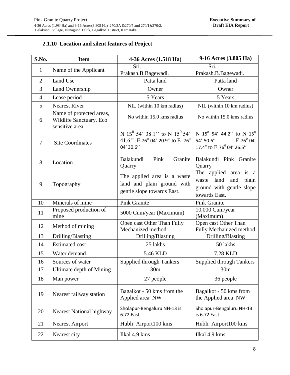## **2.1.10 Location and silent features of Project**

| S.No.          | <b>Item</b>                                                           | 4-36 Acres (1.518 Ha)                                                                                                   | 9-16 Acres (3.805 Ha)                                                                                                      |
|----------------|-----------------------------------------------------------------------|-------------------------------------------------------------------------------------------------------------------------|----------------------------------------------------------------------------------------------------------------------------|
| $\mathbf{1}$   | Name of the Applicant                                                 | Sri.                                                                                                                    | Sri.                                                                                                                       |
|                |                                                                       | Prakash.B.Bagewadi.                                                                                                     | Prakash.B.Bagewadi.                                                                                                        |
| $\overline{2}$ | Land Use                                                              | Patta land                                                                                                              | Patta land                                                                                                                 |
| 3              | Land Ownership                                                        | Owner                                                                                                                   | Owner                                                                                                                      |
| $\overline{4}$ | Lease period                                                          | 5 Years                                                                                                                 | 5 Years                                                                                                                    |
| 5              | <b>Nearest River</b>                                                  | NIL (within 10 km radius)                                                                                               | NIL (within 10 km radius)                                                                                                  |
| 6              | Name of protected areas,<br>Wildlife Sanctuary, Eco<br>sensitive area | No within 15.0 kms radius                                                                                               | No within 15.0 kms radius                                                                                                  |
| $\tau$         | <b>Site Coordinates</b>                                               | N 15 <sup>0</sup> 54' 38.1" to N 15 <sup>0</sup> 54'<br>41.6" E 76 $^{\circ}$ 04' 20.9" to E 76 $^{\circ}$<br>04' 30.6" | N 15 <sup>0</sup> 54' 44.2" to N 15 <sup>0</sup><br>$E$ 76 $^{0}$ 04'<br>54' 50.6"<br>17.4" to E 76 <sup>0</sup> 04' 26.5" |
| 8              | Location                                                              | Balakundi<br>Pink<br>Granite<br>Quarry                                                                                  | Balakundi Pink Granite<br>Quarry                                                                                           |
| 9              | Topography                                                            | The applied area is a waste<br>land and plain ground with<br>gentle slope towards East.                                 | The applied area is a<br>land<br>waste<br>and<br>plain<br>ground with gentle slope<br>towards East.                        |
| 10             | Minerals of mine                                                      | <b>Pink Granite</b>                                                                                                     | <b>Pink Granite</b>                                                                                                        |
| 11             | Proposed production of<br>mine                                        | 5000 Cum/year (Maximum)                                                                                                 | 10,000 Cum/year<br>(Maximum)                                                                                               |
| 12             | Method of mining                                                      | Open cast Other Than Fully<br>Mechanized method                                                                         | Open cast Other Than<br>Fully Mechanized method                                                                            |
| 13             | Drilling/Blasting                                                     | Drilling/Blasting                                                                                                       | Drilling/Blasting                                                                                                          |
| 14             | <b>Estimated cost</b>                                                 | 25 lakhs                                                                                                                | 50 lakhs                                                                                                                   |
| 15             | Water demand                                                          | 5.46 KLD                                                                                                                | 7.28 KLD                                                                                                                   |
| 16             | Sources of water                                                      | <b>Supplied through Tankers</b>                                                                                         | <b>Supplied through Tankers</b>                                                                                            |
| 17             | Ultimate depth of Mining                                              | 30 <sub>m</sub>                                                                                                         | 30 <sub>m</sub>                                                                                                            |
| 18             | Man power                                                             | 27 people                                                                                                               | 36 people                                                                                                                  |
| 19             | Nearest railway station                                               | Bagalkot - 50 kms from the<br>Applied area NW                                                                           | Bagalkot - 50 kms from<br>the Applied area NW                                                                              |
| 20             | <b>Nearest National highway</b>                                       | Sholapur-Bengaluru NH-13 is<br>6.72 East.                                                                               | Sholapur-Bengaluru NH-13<br>is 6.72 East.                                                                                  |
| 21             | <b>Nearest Airport</b>                                                | Hubli Airport100 kms                                                                                                    | Hubli Airport100 kms                                                                                                       |
| 22             | Nearest city                                                          | Ilkal 4.9 kms                                                                                                           | Ilkal 4.9 kms                                                                                                              |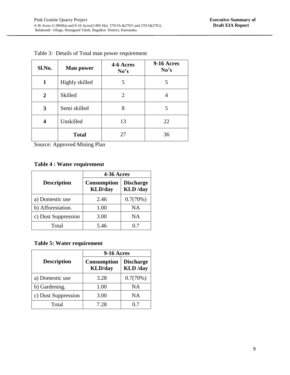| Sl.No. | <b>Man power</b> | 4-6 Acres<br>No's | <b>9-16 Acres</b><br>No's |
|--------|------------------|-------------------|---------------------------|
| 1      | Highly skilled   | 5                 | 5                         |
| 2      | Skilled          | 2                 |                           |
| 3      | Semi skilled     | 8                 | 5                         |
| 4      | Unskilled        | 13                | 22                        |
|        | <b>Total</b>     | 27                | 36                        |

Table 3: Details of Total man power requirement

Source: Approved Mining Plan

## **Table 4 : Water requirement**

|                     | 4-36 Acres                            |                                     |  |
|---------------------|---------------------------------------|-------------------------------------|--|
| <b>Description</b>  | <b>Consumption</b><br><b>KLD</b> /day | <b>Discharge</b><br><b>KLD</b> /day |  |
| a) Domestic use     | 2.46                                  | 0.7(70%)                            |  |
| b) Afforestation.   | 1.00                                  | NA                                  |  |
| c) Dust Suppression | 3.00                                  | NA.                                 |  |
| Total               | 5.46                                  |                                     |  |

## **Table 5: Water requirement**

|                     | <b>9-16 Acres</b>                     |                                     |  |
|---------------------|---------------------------------------|-------------------------------------|--|
| <b>Description</b>  | <b>Consumption</b><br><b>KLD</b> /day | <b>Discharge</b><br><b>KLD</b> /day |  |
| a) Domestic use     | 3.28                                  | 0.7(70%)                            |  |
| b) Gardening.       | 1.00                                  | <b>NA</b>                           |  |
| c) Dust Suppression | 3.00                                  | NΑ                                  |  |
| Total               | 7.28                                  | 0.7                                 |  |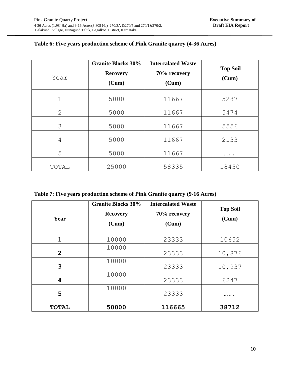| Year                      | <b>Granite Blocks 30%</b><br><b>Recovery</b><br>(Cum) | <b>Intercalated Waste</b><br>70% recovery<br>(Cum) | <b>Top Soil</b><br>(Cum) |
|---------------------------|-------------------------------------------------------|----------------------------------------------------|--------------------------|
| 1                         | 5000                                                  | 11667                                              | 5287                     |
| $\mathbf{2}^{\mathsf{I}}$ | 5000                                                  | 11667                                              | 5474                     |
| 3                         | 5000                                                  | 11667                                              | 5556                     |
| 4                         | 5000                                                  | 11667                                              | 2133                     |
| 5                         | 5000                                                  | 11667                                              |                          |
| TOTAL                     | 25000                                                 | 58335                                              | 18450                    |

## **Table 6: Five years production scheme of Pink Granite quarry (4-36 Acres)**

**Table 7: Five years production scheme of Pink Granite quarry (9-16 Acres)**

| Year           | <b>Granite Blocks 30%</b><br><b>Recovery</b><br>(Cum) | <b>Intercalated Waste</b><br>70% recovery<br>(Cum) | <b>Top Soil</b><br>(Cum) |
|----------------|-------------------------------------------------------|----------------------------------------------------|--------------------------|
| 1              | 10000                                                 | 23333                                              | 10652                    |
| $\overline{2}$ | 10000                                                 | 23333                                              | 10,876                   |
| 3              | 10000                                                 | 23333                                              | 10,937                   |
| 4              | 10000                                                 | 23333                                              | 6247                     |
| 5              | 10000                                                 | 23333                                              | $\cdots$                 |
| <b>TOTAL</b>   | 50000                                                 | 116665                                             | 38712                    |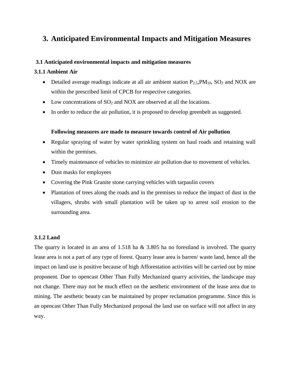## **3. Anticipated Environmental Impacts and Mitigation Measures**

## **3.1 Anticipated environmental impacts and mitigation measures**

## **3.1.1 Ambient Air**

- Detailed average readings indicate at all air ambient station  $P_{2.5}PM_{10}$ ,  $SO_2$  and NOX are within the prescribed limit of CPCB for respective categories.
- Low concentrations of  $SO_2$  and NOX are observed at all the locations.
- In order to reduce the air pollution, it is proposed to develop greenbelt as suggested.

## **Following measures are made to measure towards control of Air pollution**

- Regular spraying of water by water sprinkling system on haul roads and retaining wall within the premises.
- Timely maintenance of vehicles to minimize air pollution due to movement of vehicles.
- Dust masks for employees
- Covering the Pink Granite stone carrying vehicles with tarpaulin covers
- Plantation of trees along the roads and in the premises to reduce the impact of dust in the villagers, shrubs with small plantation will be taken up to arrest soil erosion to the surrounding area.

## **3.1.2 Land**

The quarry is located in an area of 1.518 ha & 3.805 ha no forestland is involved. The quarry lease area is not a part of any type of forest. Quarry lease area is barren/ waste land, hence all the impact on land use is positive because of high Afforestation activities will be carried out by mine proponent. Due to opencast Other Than Fully Mechanized quarry activities, the landscape may not change. There may not be much effect on the aesthetic environment of the lease area due to mining. The aesthetic beauty can be maintained by proper reclamation programme. Since this is an opencast Other Than Fully Mechanized proposal the land use on surface will not affect in any way.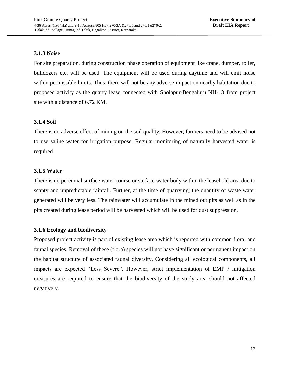## **3.1.3 Noise**

For site preparation, during construction phase operation of equipment like crane, dumper, roller, bulldozers etc. will be used. The equipment will be used during daytime and will emit noise within permissible limits. Thus, there will not be any adverse impact on nearby habitation due to proposed activity as the quarry lease connected with Sholapur-Bengaluru NH-13 from project site with a distance of 6.72 KM.

## **3.1.4 Soil**

There is no adverse effect of mining on the soil quality. However, farmers need to be advised not to use saline water for irrigation purpose. Regular monitoring of naturally harvested water is required

## **3.1.5 Water**

There is no perennial surface water course or surface water body within the leasehold area due to scanty and unpredictable rainfall. Further, at the time of quarrying, the quantity of waste water generated will be very less. The rainwater will accumulate in the mined out pits as well as in the pits created during lease period will be harvested which will be used for dust suppression.

## **3.1.6 Ecology and biodiversity**

Proposed project activity is part of existing lease area which is reported with common floral and faunal species. Removal of these (flora) species will not have significant or permanent impact on the habitat structure of associated faunal diversity. Considering all ecological components, all impacts are expected "Less Severe". However, strict implementation of EMP / mitigation measures are required to ensure that the biodiversity of the study area should not affected negatively.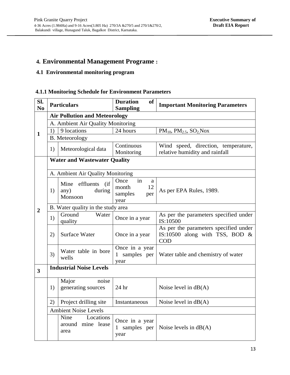## **4. Environmental Management Programe :**

## **4.1 Environmental monitoring program**

## **4.1.1 Monitoring Schedule for Environment Parameters**

| SI.<br>N <sub>0</sub>   |                                     | <b>Particulars</b>                                 | <b>Duration</b><br><b>of</b><br><b>Sampling</b>          | <b>Important Monitoring Parameters</b>                                                   |  |
|-------------------------|-------------------------------------|----------------------------------------------------|----------------------------------------------------------|------------------------------------------------------------------------------------------|--|
|                         |                                     | <b>Air Pollution and Meteorology</b>               |                                                          |                                                                                          |  |
|                         | A. Ambient Air Quality Monitoring   |                                                    |                                                          |                                                                                          |  |
| $\mathbf{1}$            | 1)                                  | 9 locations                                        | 24 hours                                                 | $PM_{10}$ , $PM_{2.5}$ , $SO_2$ Nox                                                      |  |
|                         |                                     | <b>B.</b> Meteorology                              |                                                          |                                                                                          |  |
|                         | 1)                                  | Meteorological data                                | Continuous<br>Monitoring                                 | Wind speed, direction, temperature,<br>relative humidity and rainfall                    |  |
|                         | <b>Water and Wastewater Quality</b> |                                                    |                                                          |                                                                                          |  |
|                         |                                     | A. Ambient Air Quality Monitoring                  |                                                          |                                                                                          |  |
|                         | 1)                                  | (if<br>Mine effluents<br>any)<br>during<br>Monsoon | Once<br>in<br>a<br>12<br>month<br>samples<br>per<br>year | As per EPA Rules, 1989.                                                                  |  |
| $\overline{2}$          | B. Water quality in the study area  |                                                    |                                                          |                                                                                          |  |
|                         | 1)                                  | Ground<br>Water<br>quality                         | Once in a year                                           | As per the parameters specified under<br>IS:10500                                        |  |
|                         | 2)                                  | <b>Surface Water</b>                               | Once in a year                                           | As per the parameters specified under<br>IS:10500 along with TSS, BOD $\&$<br><b>COD</b> |  |
|                         | 3)                                  | Water table in bore<br>wells                       | Once in a year<br>1 samples per<br>year                  | Water table and chemistry of water                                                       |  |
| $\overline{\mathbf{3}}$ | <b>Industrial Noise Levels</b>      |                                                    |                                                          |                                                                                          |  |
|                         | 1)                                  | Major<br>noise<br>generating sources               | 24 hr                                                    | Noise level in $dB(A)$                                                                   |  |
|                         | 2)                                  | Project drilling site                              | Instantaneous                                            | Noise level in $dB(A)$                                                                   |  |
|                         |                                     | <b>Ambient Noise Levels</b>                        |                                                          |                                                                                          |  |
|                         |                                     | Nine<br>Locations<br>around mine lease<br>area     | Once in a year<br>1 samples per<br>year                  | Noise levels in $dB(A)$                                                                  |  |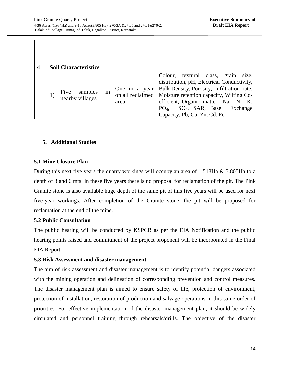| 4 |    | <b>Soil Characteristics</b>              |                                           |                                                                                                                                                                                                                                                                                                                |
|---|----|------------------------------------------|-------------------------------------------|----------------------------------------------------------------------------------------------------------------------------------------------------------------------------------------------------------------------------------------------------------------------------------------------------------------|
|   | 1) | Five<br>samples<br>in<br>nearby villages | One in a year<br>on all reclaimed<br>area | Colour, textural class,<br>grain<br>size,<br>distribution, pH, Electrical Conductivity,<br>Bulk Density, Porosity, Infiltration rate,<br>Moisture retention capacity, Wilting Co-<br>efficient, Organic matter Na, N, K,<br>$SO_4$ , SAR, Base<br>Exchange<br>PO <sub>4</sub><br>Capacity, Pb, Cu, Zn, Cd, Fe. |

## **5. Additional Studies**

## **5.1 Mine Closure Plan**

During this next five years the quarry workings will occupy an area of 1.518Ha & 3.805Ha to a depth of 3 and 6 mts. In these five years there is no proposal for reclamation of the pit. The Pink Granite stone is also available huge depth of the same pit of this five years will be used for next five-year workings. After completion of the Granite stone, the pit will be proposed for reclamation at the end of the mine.

## **5.2 Public Consultation**

The public hearing will be conducted by KSPCB as per the EIA Notification and the public hearing points raised and commitment of the project proponent will be incorporated in the Final EIA Report.

## **5.3 Risk Assessment and disaster management**

The aim of risk assessment and disaster management is to identify potential dangers associated with the mining operation and delineation of corresponding prevention and control measures. The disaster management plan is aimed to ensure safety of life, protection of environment, protection of installation, restoration of production and salvage operations in this same order of priorities. For effective implementation of the disaster management plan, it should be widely circulated and personnel training through rehearsals/drills. The objective of the disaster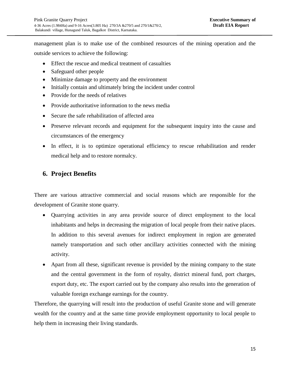management plan is to make use of the combined resources of the mining operation and the outside services to achieve the following:

- Effect the rescue and medical treatment of casualties
- Safeguard other people
- Minimize damage to property and the environment
- Initially contain and ultimately bring the incident under control
- Provide for the needs of relatives
- Provide authoritative information to the news media
- Secure the safe rehabilitation of affected area
- Preserve relevant records and equipment for the subsequent inquiry into the cause and circumstances of the emergency
- In effect, it is to optimize operational efficiency to rescue rehabilitation and render medical help and to restore normalcy.

## **6. Project Benefits**

There are various attractive commercial and social reasons which are responsible for the development of Granite stone quarry.

- Quarrying activities in any area provide source of direct employment to the local inhabitants and helps in decreasing the migration of local people from their native places. In addition to this several avenues for indirect employment in region are generated namely transportation and such other ancillary activities connected with the mining activity.
- Apart from all these, significant revenue is provided by the mining company to the state and the central government in the form of royalty, district mineral fund, port charges, export duty, etc. The export carried out by the company also results into the generation of valuable foreign exchange earnings for the country.

Therefore, the quarrying will result into the production of useful Granite stone and will generate wealth for the country and at the same time provide employment opportunity to local people to help them in increasing their living standards.